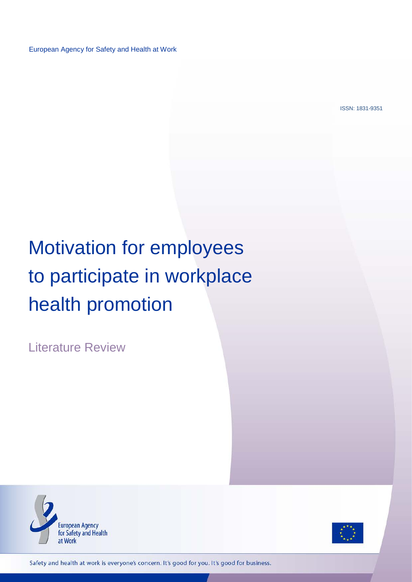European Agency for Safety and Health at Work

ISSN: 1831-9351

# Motivation for employees to participate in workplace health promotion

Literature Review





Safety and health at work is everyone's concern. It's good for you. It's good for business.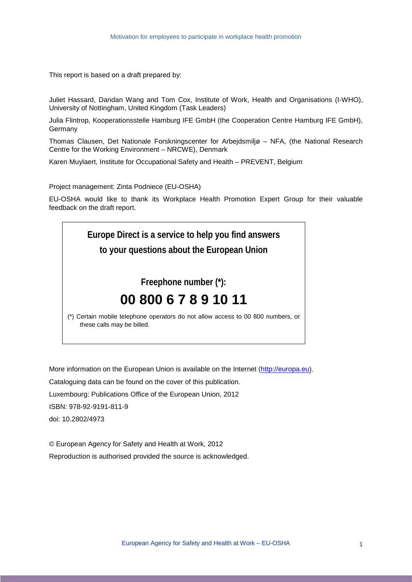This report is based on a draft prepared by:

Juliet Hassard, Dandan Wang and Tom Cox, Institute of Work, Health and Organisations (I-WHO), University of Nottingham, United Kingdom (Task Leaders)

Julia Flintrop, Kooperationsstelle Hamburg IFE GmbH (the Cooperation Centre Hamburg IFE GmbH), Germany

Thomas Clausen, Det Nationale Forskningscenter for Arbejdsmiljø – NFA, (the National Research Centre for the Working Environment – NRCWE), Denmark

Karen Muylaert, Institute for Occupational Safety and Health – PREVENT, Belgium

Project management: Zinta Podniece (EU-OSHA)

EU-OSHA would like to thank its Workplace Health Promotion Expert Group for their valuable feedback on the draft report.



More information on the European Union is available on the Internet [\(http://europa.eu\)](http://europa.eu/).

Cataloguing data can be found on the cover of this publication.

Luxembourg: Publications Office of the European Union, 2012

ISBN: 978-92-9191-811-9

doi: 10.2802/4973

© European Agency for Safety and Health at Work, 2012 Reproduction is authorised provided the source is acknowledged.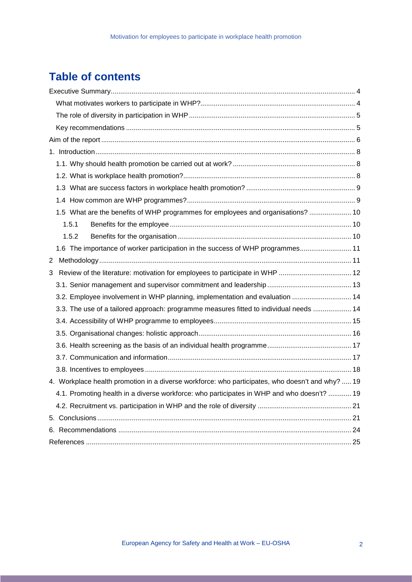# **Table of contents**

| 1.5 What are the benefits of WHP programmes for employees and organisations?  10                 |  |
|--------------------------------------------------------------------------------------------------|--|
| 1.5.1                                                                                            |  |
| 1.5.2                                                                                            |  |
| 1.6 The importance of worker participation in the success of WHP programmes 11                   |  |
| 2                                                                                                |  |
| 3                                                                                                |  |
|                                                                                                  |  |
| 3.2. Employee involvement in WHP planning, implementation and evaluation  14                     |  |
| 3.3. The use of a tailored approach: programme measures fitted to individual needs  14           |  |
|                                                                                                  |  |
|                                                                                                  |  |
|                                                                                                  |  |
|                                                                                                  |  |
|                                                                                                  |  |
| 4. Workplace health promotion in a diverse workforce: who participates, who doesn't and why?  19 |  |
| 4.1. Promoting health in a diverse workforce: who participates in WHP and who doesn't?  19       |  |
|                                                                                                  |  |
|                                                                                                  |  |
|                                                                                                  |  |
|                                                                                                  |  |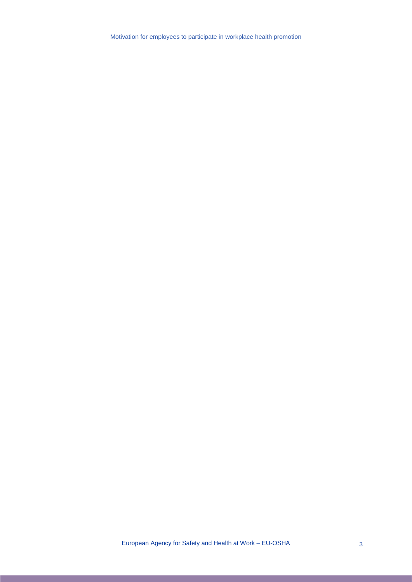<span id="page-3-0"></span>Motivation for employees to participate in workplace health promotion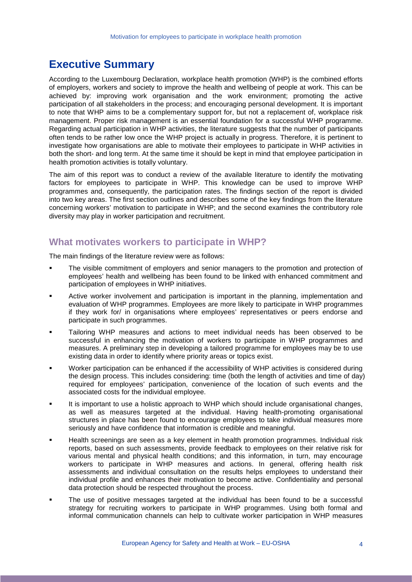# **Executive Summary**

According to the Luxembourg Declaration, workplace health promotion (WHP) is the combined efforts of employers, workers and society to improve the health and wellbeing of people at work. This can be achieved by: improving work organisation and the work environment; promoting the active participation of all stakeholders in the process; and encouraging personal development. It is important to note that WHP aims to be a complementary support for, but not a replacement of, workplace risk management. Proper risk management is an essential foundation for a successful WHP programme. Regarding actual participation in WHP activities, the literature suggests that the number of participants often tends to be rather low once the WHP project is actually in progress. Therefore, it is pertinent to investigate how organisations are able to motivate their employees to participate in WHP activities in both the short- and long term. At the same time it should be kept in mind that employee participation in health promotion activities is totally voluntary.

The aim of this report was to conduct a review of the available literature to identify the motivating factors for employees to participate in WHP. This knowledge can be used to improve WHP programmes and, consequently, the participation rates. The findings section of the report is divided into two key areas. The first section outlines and describes some of the key findings from the literature concerning workers' motivation to participate in WHP; and the second examines the contributory role diversity may play in worker participation and recruitment.

## <span id="page-4-0"></span>**What motivates workers to participate in WHP?**

The main findings of the literature review were as follows:

- The visible commitment of employers and senior managers to the promotion and protection of employees' health and wellbeing has been found to be linked with enhanced commitment and participation of employees in WHP initiatives.
- Active worker involvement and participation is important in the planning, implementation and evaluation of WHP programmes. Employees are more likely to participate in WHP programmes if they work for/ in organisations where employees' representatives or peers endorse and participate in such programmes.
- Tailoring WHP measures and actions to meet individual needs has been observed to be successful in enhancing the motivation of workers to participate in WHP programmes and measures. A preliminary step in developing a tailored programme for employees may be to use existing data in order to identify where priority areas or topics exist.
- Worker participation can be enhanced if the accessibility of WHP activities is considered during the design process. This includes considering: time (both the length of activities and time of day) required for employees' participation, convenience of the location of such events and the associated costs for the individual employee.
- It is important to use a holistic approach to WHP which should include organisational changes, as well as measures targeted at the individual. Having health-promoting organisational structures in place has been found to encourage employees to take individual measures more seriously and have confidence that information is credible and meaningful.
- Health screenings are seen as a key element in health promotion programmes. Individual risk reports, based on such assessments, provide feedback to employees on their relative risk for various mental and physical health conditions; and this information, in turn, may encourage workers to participate in WHP measures and actions. In general, offering health risk assessments and individual consultation on the results helps employees to understand their individual profile and enhances their motivation to become active. Confidentiality and personal data protection should be respected throughout the process.
- The use of positive messages targeted at the individual has been found to be a successful strategy for recruiting workers to participate in WHP programmes. Using both formal and informal communication channels can help to cultivate worker participation in WHP measures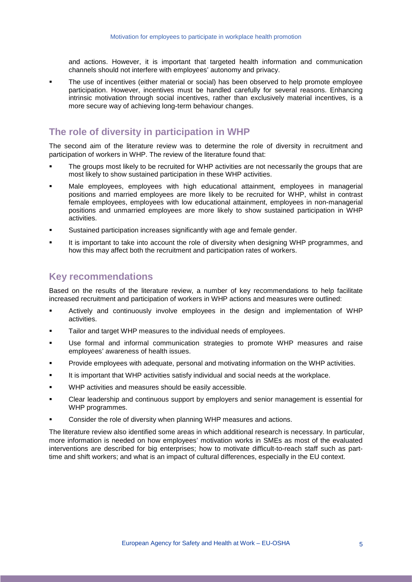and actions. However, it is important that targeted health information and communication channels should not interfere with employees' autonomy and privacy.

 The use of incentives (either material or social) has been observed to help promote employee participation. However, incentives must be handled carefully for several reasons. Enhancing intrinsic motivation through social incentives, rather than exclusively material incentives, is a more secure way of achieving long-term behaviour changes.

## <span id="page-5-0"></span>**The role of diversity in participation in WHP**

The second aim of the literature review was to determine the role of diversity in recruitment and participation of workers in WHP. The review of the literature found that:

- The groups most likely to be recruited for WHP activities are not necessarily the groups that are most likely to show sustained participation in these WHP activities.
- Male employees, employees with high educational attainment, employees in managerial positions and married employees are more likely to be recruited for WHP, whilst in contrast female employees, employees with low educational attainment, employees in non-managerial positions and unmarried employees are more likely to show sustained participation in WHP activities.
- Sustained participation increases significantly with age and female gender.
- It is important to take into account the role of diversity when designing WHP programmes, and how this may affect both the recruitment and participation rates of workers.

#### <span id="page-5-1"></span>**Key recommendations**

Based on the results of the literature review, a number of key recommendations to help facilitate increased recruitment and participation of workers in WHP actions and measures were outlined:

- Actively and continuously involve employees in the design and implementation of WHP activities.
- Tailor and target WHP measures to the individual needs of employees.
- Use formal and informal communication strategies to promote WHP measures and raise employees' awareness of health issues.
- Provide employees with adequate, personal and motivating information on the WHP activities.
- It is important that WHP activities satisfy individual and social needs at the workplace.
- WHP activities and measures should be easily accessible.
- Clear leadership and continuous support by employers and senior management is essential for WHP programmes.
- Consider the role of diversity when planning WHP measures and actions.

The literature review also identified some areas in which additional research is necessary. In particular, more information is needed on how employees' motivation works in SMEs as most of the evaluated interventions are described for big enterprises; how to motivate difficult-to-reach staff such as parttime and shift workers; and what is an impact of cultural differences, especially in the EU context.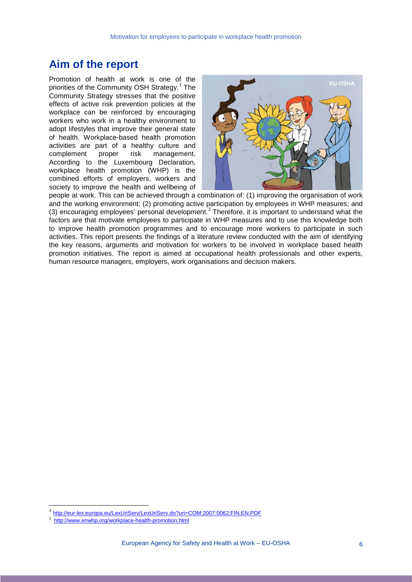# <span id="page-6-0"></span>**Aim of the report**

Promotion of health at work is one of the priorities of the Community OSH Strategy.<sup>[1](#page-6-1)</sup> The Community Strategy stresses that the positive effects of active risk prevention policies at the workplace can be reinforced by encouraging workers who work in a healthy environment to adopt lifestyles that improve their general state of health. Workplace-based health promotion activities are part of a healthy culture and complement proper risk management. According to the Luxembourg Declaration, workplace health promotion (WHP) is the combined efforts of employers, workers and society to improve the health and wellbeing of



people at work. This can be achieved through a combination of: (1) improving the organisation of work and the working environment; (2) promoting active participation by employees in WHP measures; and (3) encouraging employees' personal development.<sup>[2](#page-6-2)</sup> Therefore, it is important to understand what the factors are that motivate employees to participate in WHP measures and to use this knowledge both to improve health promotion programmes and to encourage more workers to participate in such activities. This report presents the findings of a literature review conducted with the aim of identifying the key reasons, arguments and motivation for workers to be involved in workplace based health promotion initiatives. The report is aimed at occupational health professionals and other experts, human resource managers, employers, work organisations and decision makers.

<http://eur-lex.europa.eu/LexUriServ/LexUriServ.do?uri=COM:2007:0062:FIN:EN:PDF>

<span id="page-6-2"></span><span id="page-6-1"></span><http://www.enwhp.org/workplace-health-promotion.html>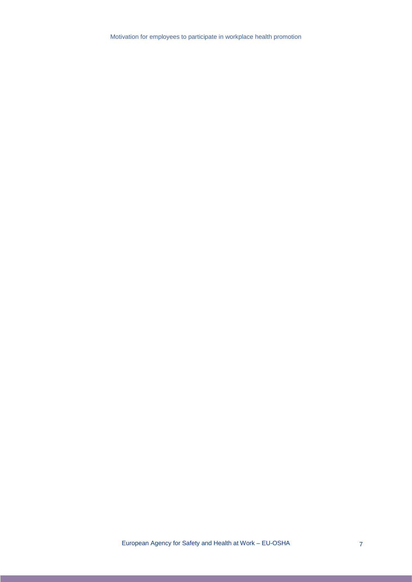<span id="page-7-0"></span>Motivation for employees to participate in workplace health promotion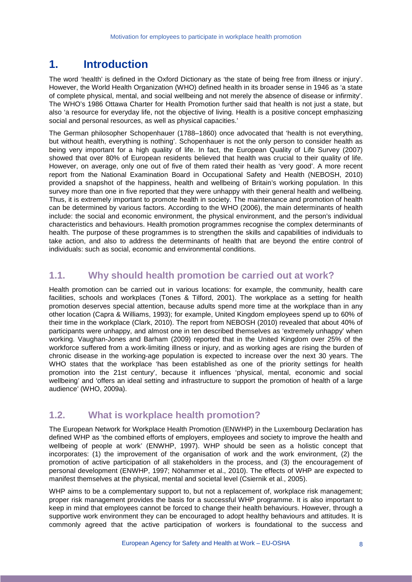# **1. Introduction**

The word 'health' is defined in the Oxford Dictionary as 'the state of being free from illness or injury'. However, the World Health Organization (WHO) defined health in its broader sense in 1946 as 'a state of complete physical, mental, and social wellbeing and not merely the absence of disease or infirmity'. The WHO's 1986 Ottawa Charter for Health Promotion further said that health is not just a state, but also 'a resource for everyday life, not the objective of living. Health is a positive concept emphasizing social and personal resources, as well as physical capacities.'

The German philosopher Schopenhauer (1788–1860) once advocated that 'health is not everything, but without health, everything is nothing'. Schopenhauer is not the only person to consider health as being very important for a high quality of life. In fact, the European Quality of Life Survey (2007) showed that over 80% of European residents believed that health was crucial to their quality of life. However, on average, only one out of five of them rated their health as 'very good'. A more recent report from the National Examination Board in Occupational Safety and Health (NEBOSH, 2010) provided a snapshot of the happiness, health and wellbeing of Britain's working population. In this survey more than one in five reported that they were unhappy with their general health and wellbeing. Thus, it is extremely important to promote health in society. The maintenance and promotion of health can be determined by various factors. According to the WHO (2006), the main determinants of health include: the social and economic environment, the physical environment, and the person's individual characteristics and behaviours. Health promotion programmes recognise the complex determinants of health. The purpose of these programmes is to strengthen the skills and capabilities of individuals to take action, and also to address the determinants of health that are beyond the entire control of individuals: such as social, economic and environmental conditions.

## <span id="page-8-0"></span>**1.1. Why should health promotion be carried out at work?**

Health promotion can be carried out in various locations: for example, the community, health care facilities, schools and workplaces (Tones & Tilford, 2001). The workplace as a setting for health promotion deserves special attention, because adults spend more time at the workplace than in any other location (Capra & Williams, 1993); for example, United Kingdom employees spend up to 60% of their time in the workplace (Clark, 2010). The report from NEBOSH (2010) revealed that about 40% of participants were unhappy, and almost one in ten described themselves as 'extremely unhappy' when working. Vaughan-Jones and Barham (2009) reported that in the United Kingdom over 25% of the workforce suffered from a work-limiting illness or injury, and as working ages are rising the burden of chronic disease in the working-age population is expected to increase over the next 30 years. The WHO states that the workplace 'has been established as one of the priority settings for health promotion into the 21st century', because it influences 'physical, mental, economic and social wellbeing' and 'offers an ideal setting and infrastructure to support the promotion of health of a large audience' (WHO, 2009a).

## <span id="page-8-1"></span>**1.2. What is workplace health promotion?**

The European Network for Workplace Health Promotion (ENWHP) in the Luxembourg Declaration has defined WHP as 'the combined efforts of employers, employees and society to improve the health and wellbeing of people at work' (ENWHP, 1997). WHP should be seen as a holistic concept that incorporates: (1) the improvement of the organisation of work and the work environment, (2) the promotion of active participation of all stakeholders in the process, and (3) the encouragement of personal development (ENWHP, 1997; Nöhammer et al., 2010). The effects of WHP are expected to manifest themselves at the physical, mental and societal level (Csiernik et al., 2005).

WHP aims to be a complementary support to, but not a replacement of, workplace risk management; proper risk management provides the basis for a successful WHP programme. It is also important to keep in mind that employees cannot be forced to change their health behaviours. However, through a supportive work environment they can be encouraged to adopt healthy behaviours and attitudes. It is commonly agreed that the active participation of workers is foundational to the success and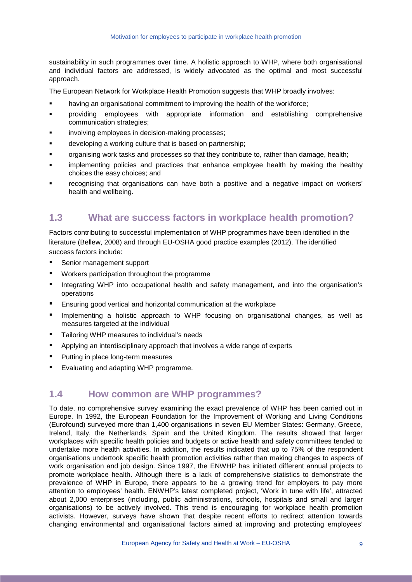sustainability in such programmes over time. A holistic approach to WHP, where both organisational and individual factors are addressed, is widely advocated as the optimal and most successful approach.

The European Network for Workplace Health Promotion suggests that WHP broadly involves:

- having an organisational commitment to improving the health of the workforce;
- providing employees with appropriate information and establishing comprehensive communication strategies;
- involving employees in decision-making processes;
- developing a working culture that is based on partnership;
- **The Stepanising work tasks and processes so that they contribute to, rather than damage, health;**
- implementing policies and practices that enhance employee health by making the healthy choices the easy choices; and
- recognising that organisations can have both a positive and a negative impact on workers' health and wellbeing.

## <span id="page-9-0"></span>**1.3 What are success factors in workplace health promotion?**

Factors contributing to successful implementation of WHP programmes have been identified in the literature (Bellew, 2008) and through EU-OSHA good practice examples (2012). The identified success factors include:

- Senior management support
- Workers participation throughout the programme
- Integrating WHP into occupational health and safety management, and into the organisation's operations
- Ensuring good vertical and horizontal communication at the workplace
- Implementing a holistic approach to WHP focusing on organisational changes, as well as measures targeted at the individual
- **Tailoring WHP measures to individual's needs**
- **•** Applying an interdisciplinary approach that involves a wide range of experts
- **Putting in place long-term measures**
- **Evaluating and adapting WHP programme.**

#### <span id="page-9-1"></span>**1.4 How common are WHP programmes?**

To date, no comprehensive survey examining the exact prevalence of WHP has been carried out in Europe. In 1992, the European Foundation for the Improvement of Working and Living Conditions (Eurofound) surveyed more than 1,400 organisations in seven EU Member States: Germany, Greece, Ireland, Italy, the Netherlands, Spain and the United Kingdom. The results showed that larger workplaces with specific health policies and budgets or active health and safety committees tended to undertake more health activities. In addition, the results indicated that up to 75% of the respondent organisations undertook specific health promotion activities rather than making changes to aspects of work organisation and job design. Since 1997, the ENWHP has initiated different annual projects to promote workplace health. Although there is a lack of comprehensive statistics to demonstrate the prevalence of WHP in Europe, there appears to be a growing trend for employers to pay more attention to employees' health. ENWHP's latest completed project, 'Work in tune with life', attracted about 2,000 enterprises (including, public administrations, schools, hospitals and small and larger organisations) to be actively involved. This trend is encouraging for workplace health promotion activists. However, surveys have shown that despite recent efforts to redirect attention towards changing environmental and organisational factors aimed at improving and protecting employees'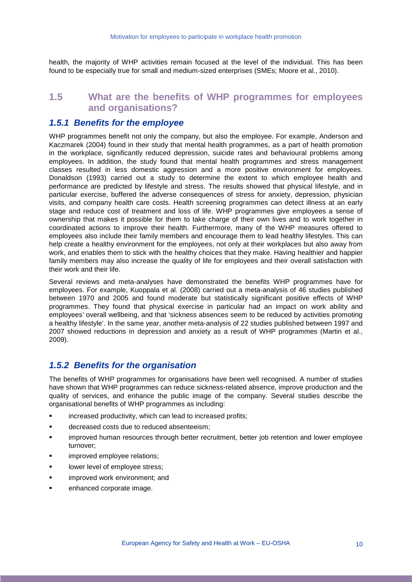health, the majority of WHP activities remain focused at the level of the individual. This has been found to be especially true for small and medium-sized enterprises (SMEs; Moore et al., 2010).

#### <span id="page-10-0"></span>**1.5 What are the benefits of WHP programmes for employees and organisations?**

#### <span id="page-10-1"></span>*1.5.1 Benefits for the employee*

WHP programmes benefit not only the company, but also the employee. For example, Anderson and Kaczmarek (2004) found in their study that mental health programmes, as a part of health promotion in the workplace, significantly reduced depression, suicide rates and behavioural problems among employees. In addition, the study found that mental health programmes and stress management classes resulted in less domestic aggression and a more positive environment for employees. Donaldson (1993) carried out a study to determine the extent to which employee health and performance are predicted by lifestyle and stress. The results showed that physical lifestyle, and in particular exercise, buffered the adverse consequences of stress for anxiety, depression, physician visits, and company health care costs. Health screening programmes can detect illness at an early stage and reduce cost of treatment and loss of life. WHP programmes give employees a sense of ownership that makes it possible for them to take charge of their own lives and to work together in coordinated actions to improve their health. Furthermore, many of the WHP measures offered to employees also include their family members and encourage them to lead healthy lifestyles. This can help create a healthy environment for the employees, not only at their workplaces but also away from work, and enables them to stick with the healthy choices that they make. Having healthier and happier family members may also increase the quality of life for employees and their overall satisfaction with their work and their life.

Several reviews and meta-analyses have demonstrated the benefits WHP programmes have for employees. For example, Kuoppala et al. (2008) carried out a meta-analysis of 46 studies published between 1970 and 2005 and found moderate but statistically significant positive effects of WHP programmes. They found that physical exercise in particular had an impact on work ability and employees' overall wellbeing, and that 'sickness absences seem to be reduced by activities promoting a healthy lifestyle'. In the same year, another meta-analysis of 22 studies published between 1997 and 2007 showed reductions in depression and anxiety as a result of WHP programmes (Martin et al., 2009).

#### <span id="page-10-2"></span>*1.5.2 Benefits for the organisation*

The benefits of WHP programmes for organisations have been well recognised. A number of studies have shown that WHP programmes can reduce sickness-related absence, improve production and the quality of services, and enhance the public image of the company. Several studies describe the organisational benefits of WHP programmes as including:

- **EXECUTE:** increased productivity, which can lead to increased profits;
- **decreased costs due to reduced absenteeism;**
- improved human resources through better recruitment, better job retention and lower employee turnover;
- improved employee relations;
- **If** lower level of employee stress:
- improved work environment; and
- enhanced corporate image.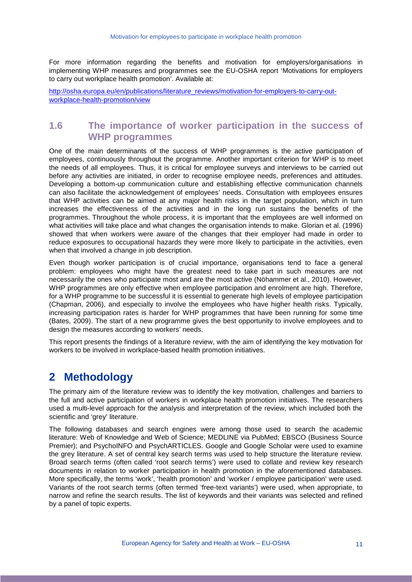For more information regarding the benefits and motivation for employers/organisations in implementing WHP measures and programmes see the EU-OSHA report 'Motivations for employers to carry out workplace health promotion'. Available at:

[http://osha.europa.eu/en/publications/literature\\_reviews/motivation-for-employers-to-carry-out](http://osha.europa.eu/en/publications/literature_reviews/motivation-for-employers-to-carry-out-workplace-health-promotion/view)[workplace-health-promotion/view](http://osha.europa.eu/en/publications/literature_reviews/motivation-for-employers-to-carry-out-workplace-health-promotion/view)

## <span id="page-11-0"></span>**1.6 The importance of worker participation in the success of WHP programmes**

One of the main determinants of the success of WHP programmes is the active participation of employees, continuously throughout the programme. Another important criterion for WHP is to meet the needs of all employees. Thus, it is critical for employee surveys and interviews to be carried out before any activities are initiated, in order to recognise employee needs, preferences and attitudes. Developing a bottom-up communication culture and establishing effective communication channels can also facilitate the acknowledgement of employees' needs. Consultation with employees ensures that WHP activities can be aimed at any major health risks in the target population, which in turn increases the effectiveness of the activities and in the long run sustains the benefits of the programmes. Throughout the whole process, it is important that the employees are well informed on what activities will take place and what changes the organisation intends to make. Glorian et al. (1996) showed that when workers were aware of the changes that their employer had made in order to reduce exposures to occupational hazards they were more likely to participate in the activities, even when that involved a change in job description.

Even though worker participation is of crucial importance, organisations tend to face a general problem: employees who might have the greatest need to take part in such measures are not necessarily the ones who participate most and are the most active (Nöhammer et al., 2010). However, WHP programmes are only effective when employee participation and enrolment are high. Therefore, for a WHP programme to be successful it is essential to generate high levels of employee participation (Chapman, 2006), and especially to involve the employees who have higher health risks. Typically, increasing participation rates is harder for WHP programmes that have been running for some time (Bates, 2009). The start of a new programme gives the best opportunity to involve employees and to design the measures according to workers' needs.

This report presents the findings of a literature review, with the aim of identifying the key motivation for workers to be involved in workplace-based health promotion initiatives.

# <span id="page-11-1"></span>**2 Methodology**

The primary aim of the literature review was to identify the key motivation, challenges and barriers to the full and active participation of workers in workplace health promotion initiatives. The researchers used a multi-level approach for the analysis and interpretation of the review, which included both the scientific and 'grey' literature.

The following databases and search engines were among those used to search the academic literature: Web of Knowledge and Web of Science; MEDLINE via PubMed; EBSCO (Business Source Premier); and PsychoINFO and PsychARTICLES. Google and Google Scholar were used to examine the grey literature. A set of central key search terms was used to help structure the literature review. Broad search terms (often called 'root search terms') were used to collate and review key research documents in relation to worker participation in health promotion in the aforementioned databases. More specifically, the terms 'work', 'health promotion' and 'worker / employee participation' were used. Variants of the root search terms (often termed 'free-text variants') were used, when appropriate, to narrow and refine the search results. The list of keywords and their variants was selected and refined by a panel of topic experts.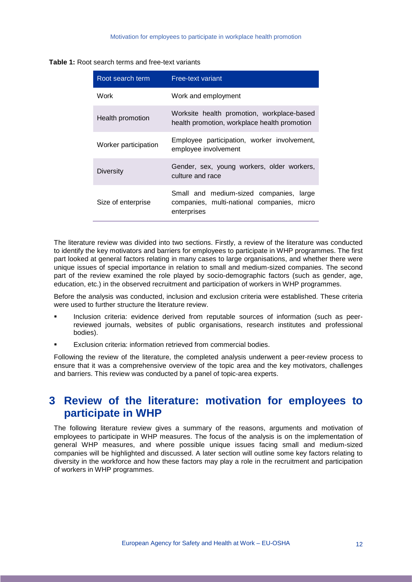**Table 1:** Root search terms and free-text variants

| Root search term     | Free-text variant                                                                                       |
|----------------------|---------------------------------------------------------------------------------------------------------|
| Work                 | Work and employment                                                                                     |
| Health promotion     | Worksite health promotion, workplace-based<br>health promotion, workplace health promotion              |
| Worker participation | Employee participation, worker involvement,<br>employee involvement                                     |
| Diversity            | Gender, sex, young workers, older workers,<br>culture and race                                          |
| Size of enterprise   | Small and medium-sized companies,<br>large<br>companies, multi-national companies, micro<br>enterprises |

The literature review was divided into two sections. Firstly, a review of the literature was conducted to identify the key motivators and barriers for employees to participate in WHP programmes. The first part looked at general factors relating in many cases to large organisations, and whether there were unique issues of special importance in relation to small and medium-sized companies. The second part of the review examined the role played by socio-demographic factors (such as gender, age, education, etc.) in the observed recruitment and participation of workers in WHP programmes.

Before the analysis was conducted, inclusion and exclusion criteria were established. These criteria were used to further structure the literature review.

- Inclusion criteria: evidence derived from reputable sources of information (such as peerreviewed journals, websites of public organisations, research institutes and professional bodies).
- Exclusion criteria: information retrieved from commercial bodies.

Following the review of the literature, the completed analysis underwent a peer-review process to ensure that it was a comprehensive overview of the topic area and the key motivators, challenges and barriers. This review was conducted by a panel of topic-area experts.

# <span id="page-12-0"></span>**3 Review of the literature: motivation for employees to participate in WHP**

The following literature review gives a summary of the reasons, arguments and motivation of employees to participate in WHP measures. The focus of the analysis is on the implementation of general WHP measures, and where possible unique issues facing small and medium-sized companies will be highlighted and discussed. A later section will outline some key factors relating to diversity in the workforce and how these factors may play a role in the recruitment and participation of workers in WHP programmes.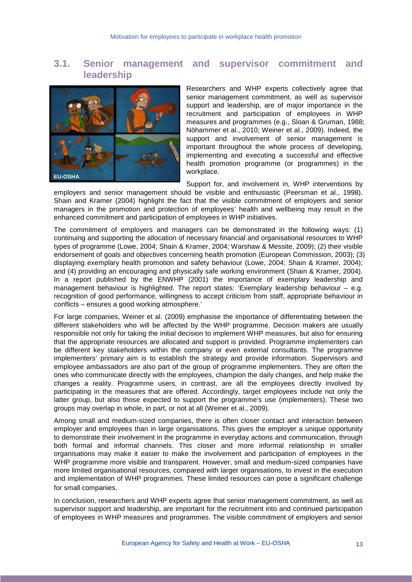#### <span id="page-13-0"></span>**3.1. Senior management and supervisor commitment and leadership**



Researchers and WHP experts collectively agree that senior management commitment, as well as supervisor support and leadership, are of major importance in the recruitment and participation of employees in WHP measures and programmes (e.g., Sloan & Gruman, 1988; Nöhammer et al., 2010; Weiner et al., 2009). Indeed, the support and involvement of senior management is important throughout the whole process of developing, implementing and executing a successful and effective health promotion programme (or programmes) in the workplace.

Support for, and involvement in, WHP interventions by

employers and senior management should be visible and enthusiastic (Peersman et al., 1998). Shain and Kramer (2004) highlight the fact that the visible commitment of employers and senior managers in the promotion and protection of employees' health and wellbeing may result in the enhanced commitment and participation of employees in WHP initiatives.

The commitment of employers and managers can be demonstrated in the following ways: (1) continuing and supporting the allocation of necessary financial and organisational resources to WHP types of programme (Lowe, 2004; Shain & Kramer, 2004; Warshaw & Messite, 2009); (2) their visible endorsement of goals and objectives concerning health promotion (European Commission, 2003); (3) displaying exemplary health promotion and safety behaviour (Lowe, 2004; Shain & Kramer, 2004); and (4) providing an encouraging and physically safe working environment (Shain & Kramer, 2004). In a report published by the ENWHP (2001) the importance of exemplary leadership and management behaviour is highlighted. The report states: 'Exemplary leadership behaviour – e.g. recognition of good performance, willingness to accept criticism from staff, appropriate behaviour in conflicts – ensures a good working atmosphere.'

For large companies, Weiner et al. (2009) emphasise the importance of differentiating between the different stakeholders who will be affected by the WHP programme. Decision makers are usually responsible not only for taking the initial decision to implement WHP measures, but also for ensuring that the appropriate resources are allocated and support is provided. Programme implementers can be different key stakeholders within the company or even external consultants. The programme implementers' primary aim is to establish the strategy and provide information. Supervisors and employee ambassadors are also part of the group of programme implementers. They are often the ones who communicate directly with the employees, champion the daily changes, and help make the changes a reality. Programme users, in contrast, are all the employees directly involved by participating in the measures that are offered. Accordingly, target employees include not only the latter group, but also those expected to support the programme's use (implementers). These two groups may overlap in whole, in part, or not at all (Weiner et al., 2009).

Among small and medium-sized companies, there is often closer contact and interaction between employer and employees than in large organisations. This gives the employer a unique opportunity to demonstrate their involvement in the programme in everyday actions and communication, through both formal and informal channels. This closer and more informal relationship in smaller organisations may make it easier to make the involvement and participation of employees in the WHP programme more visible and transparent. However, small and medium-sized companies have more limited organisational resources, compared with larger organisations, to invest in the execution and implementation of WHP programmes. These limited resources can pose a significant challenge for small companies.

In conclusion, researchers and WHP experts agree that senior management commitment, as well as supervisor support and leadership, are important for the recruitment into and continued participation of employees in WHP measures and programmes. The visible commitment of employers and senior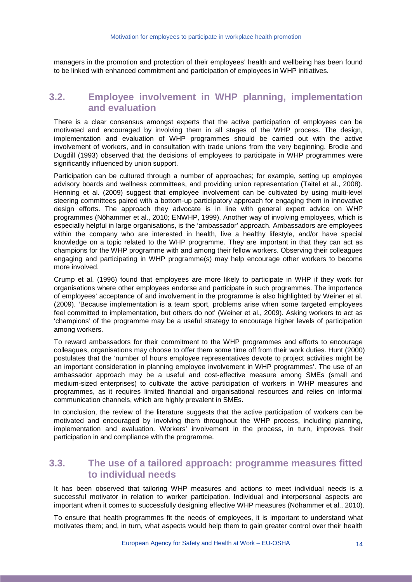managers in the promotion and protection of their employees' health and wellbeing has been found to be linked with enhanced commitment and participation of employees in WHP initiatives.

## <span id="page-14-0"></span>**3.2. Employee involvement in WHP planning, implementation and evaluation**

There is a clear consensus amongst experts that the active participation of employees can be motivated and encouraged by involving them in all stages of the WHP process. The design, implementation and evaluation of WHP programmes should be carried out with the active involvement of workers, and in consultation with trade unions from the very beginning. Brodie and Dugdill (1993) observed that the decisions of employees to participate in WHP programmes were significantly influenced by union support.

Participation can be cultured through a number of approaches; for example, setting up employee advisory boards and wellness committees, and providing union representation (Taitel et al., 2008). Henning et al. (2009) suggest that employee involvement can be cultivated by using multi-level steering committees paired with a bottom-up participatory approach for engaging them in innovative design efforts. The approach they advocate is in line with general expert advice on WHP programmes (Nöhammer et al., 2010; ENWHP, 1999). Another way of involving employees, which is especially helpful in large organisations, is the 'ambassador' approach. Ambassadors are employees within the company who are interested in health, live a healthy lifestyle, and/or have special knowledge on a topic related to the WHP programme. They are important in that they can act as champions for the WHP programme with and among their fellow workers. Observing their colleagues engaging and participating in WHP programme(s) may help encourage other workers to become more involved.

Crump et al. (1996) found that employees are more likely to participate in WHP if they work for organisations where other employees endorse and participate in such programmes. The importance of employees' acceptance of and involvement in the programme is also highlighted by Weiner et al. (2009). 'Because implementation is a team sport, problems arise when some targeted employees feel committed to implementation, but others do not' (Weiner et al., 2009). Asking workers to act as 'champions' of the programme may be a useful strategy to encourage higher levels of participation among workers.

To reward ambassadors for their commitment to the WHP programmes and efforts to encourage colleagues, organisations may choose to offer them some time off from their work duties. Hunt (2000) postulates that the 'number of hours employee representatives devote to project activities might be an important consideration in planning employee involvement in WHP programmes'. The use of an ambassador approach may be a useful and cost-effective measure among SMEs (small and medium-sized enterprises) to cultivate the active participation of workers in WHP measures and programmes, as it requires limited financial and organisational resources and relies on informal communication channels, which are highly prevalent in SMEs.

In conclusion, the review of the literature suggests that the active participation of workers can be motivated and encouraged by involving them throughout the WHP process, including planning, implementation and evaluation. Workers' involvement in the process, in turn, improves their participation in and compliance with the programme.

## <span id="page-14-1"></span>**3.3. The use of a tailored approach: programme measures fitted to individual needs**

It has been observed that tailoring WHP measures and actions to meet individual needs is a successful motivator in relation to worker participation. Individual and interpersonal aspects are important when it comes to successfully designing effective WHP measures (Nöhammer et al., 2010).

To ensure that health programmes fit the needs of employees, it is important to understand what motivates them; and, in turn, what aspects would help them to gain greater control over their health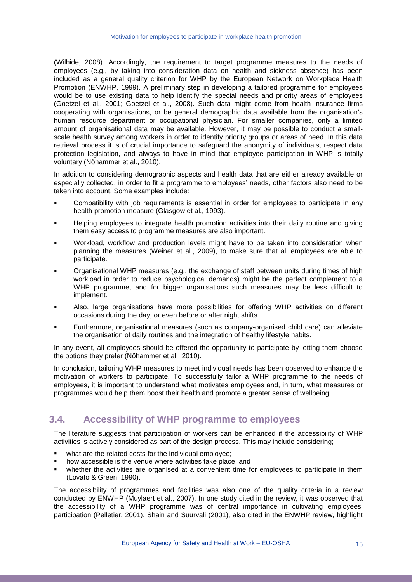(Wilhide, 2008). Accordingly, the requirement to target programme measures to the needs of employees (e.g., by taking into consideration data on health and sickness absence) has been included as a general quality criterion for WHP by the European Network on Workplace Health Promotion (ENWHP, 1999). A preliminary step in developing a tailored programme for employees would be to use existing data to help identify the special needs and priority areas of employees (Goetzel et al., 2001; Goetzel et al., 2008). Such data might come from health insurance firms cooperating with organisations, or be general demographic data available from the organisation's human resource department or occupational physician. For smaller companies, only a limited amount of organisational data may be available. However, it may be possible to conduct a smallscale health survey among workers in order to identify priority groups or areas of need. In this data retrieval process it is of crucial importance to safeguard the anonymity of individuals, respect data protection legislation, and always to have in mind that employee participation in WHP is totally voluntary (Nöhammer et al., 2010).

In addition to considering demographic aspects and health data that are either already available or especially collected, in order to fit a programme to employees' needs, other factors also need to be taken into account. Some examples include:

- Compatibility with job requirements is essential in order for employees to participate in any health promotion measure (Glasgow et al., 1993).
- Helping employees to integrate health promotion activities into their daily routine and giving them easy access to programme measures are also important.
- Workload, workflow and production levels might have to be taken into consideration when planning the measures (Weiner et al., 2009), to make sure that all employees are able to participate.
- Organisational WHP measures (e.g., the exchange of staff between units during times of high workload in order to reduce psychological demands) might be the perfect complement to a WHP programme, and for bigger organisations such measures may be less difficult to implement.
- Also, large organisations have more possibilities for offering WHP activities on different occasions during the day, or even before or after night shifts.
- Furthermore, organisational measures (such as company-organised child care) can alleviate the organisation of daily routines and the integration of healthy lifestyle habits.

In any event, all employees should be offered the opportunity to participate by letting them choose the options they prefer (Nöhammer et al., 2010).

In conclusion, tailoring WHP measures to meet individual needs has been observed to enhance the motivation of workers to participate. To successfully tailor a WHP programme to the needs of employees, it is important to understand what motivates employees and, in turn, what measures or programmes would help them boost their health and promote a greater sense of wellbeing.

## <span id="page-15-0"></span>**3.4. Accessibility of WHP programme to employees**

The literature suggests that participation of workers can be enhanced if the accessibility of WHP activities is actively considered as part of the design process. This may include considering;

- what are the related costs for the individual employee;
- how accessible is the venue where activities take place; and
- whether the activities are organised at a convenient time for employees to participate in them (Lovato & Green, 1990).

The accessibility of programmes and facilities was also one of the quality criteria in a review conducted by ENWHP (Muylaert et al., 2007). In one study cited in the review, it was observed that the accessibility of a WHP programme was of central importance in cultivating employees' participation (Pelletier, 2001). Shain and Suurvali (2001), also cited in the ENWHP review, highlight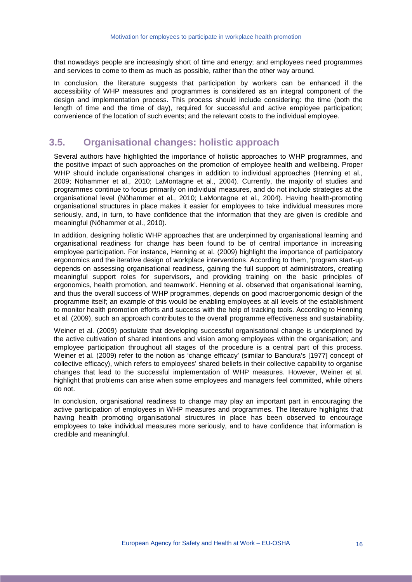that nowadays people are increasingly short of time and energy; and employees need programmes and services to come to them as much as possible, rather than the other way around.

In conclusion, the literature suggests that participation by workers can be enhanced if the accessibility of WHP measures and programmes is considered as an integral component of the design and implementation process. This process should include considering: the time (both the length of time and the time of day), required for successful and active employee participation; convenience of the location of such events; and the relevant costs to the individual employee.

#### <span id="page-16-0"></span>**3.5. Organisational changes: holistic approach**

Several authors have highlighted the importance of holistic approaches to WHP programmes, and the positive impact of such approaches on the promotion of employee health and wellbeing. Proper WHP should include organisational changes in addition to individual approaches (Henning et al., 2009; Nöhammer et al., 2010; LaMontagne et al., 2004). Currently, the majority of studies and programmes continue to focus primarily on individual measures, and do not include strategies at the organisational level (Nöhammer et al., 2010; LaMontagne et al., 2004). Having health-promoting organisational structures in place makes it easier for employees to take individual measures more seriously, and, in turn, to have confidence that the information that they are given is credible and meaningful (Nöhammer et al., 2010).

In addition, designing holistic WHP approaches that are underpinned by organisational learning and organisational readiness for change has been found to be of central importance in increasing employee participation. For instance, Henning et al. (2009) highlight the importance of participatory ergonomics and the iterative design of workplace interventions. According to them, 'program start-up depends on assessing organisational readiness, gaining the full support of administrators, creating meaningful support roles for supervisors, and providing training on the basic principles of ergonomics, health promotion, and teamwork'. Henning et al. observed that organisational learning, and thus the overall success of WHP programmes, depends on good macroergonomic design of the programme itself; an example of this would be enabling employees at all levels of the establishment to monitor health promotion efforts and success with the help of tracking tools. According to Henning et al. (2009), such an approach contributes to the overall programme effectiveness and sustainability.

Weiner et al. (2009) postulate that developing successful organisational change is underpinned by the active cultivation of shared intentions and vision among employees within the organisation; and employee participation throughout all stages of the procedure is a central part of this process. Weiner et al. (2009) refer to the notion as 'change efficacy' (similar to Bandura's [1977] concept of collective efficacy), which refers to employees' shared beliefs in their collective capability to organise changes that lead to the successful implementation of WHP measures. However, Weiner et al. highlight that problems can arise when some employees and managers feel committed, while others do not.

In conclusion, organisational readiness to change may play an important part in encouraging the active participation of employees in WHP measures and programmes. The literature highlights that having health promoting organisational structures in place has been observed to encourage employees to take individual measures more seriously, and to have confidence that information is credible and meaningful.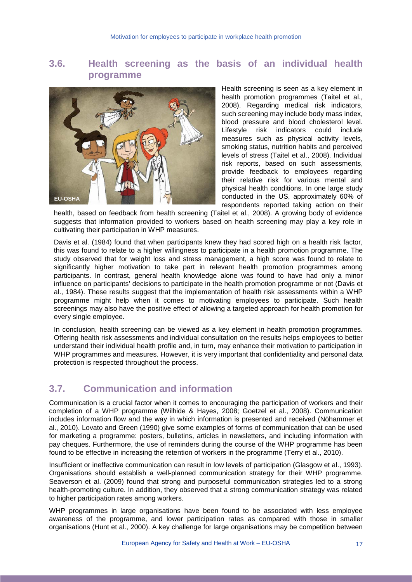## <span id="page-17-0"></span>**3.6. Health screening as the basis of an individual health programme**



Health screening is seen as a key element in health promotion programmes (Taitel et al., 2008). Regarding medical risk indicators, such screening may include body mass index, blood pressure and blood cholesterol level. Lifestyle risk indicators could include measures such as physical activity levels, smoking status, nutrition habits and perceived levels of stress (Taitel et al., 2008). Individual risk reports, based on such assessments, provide feedback to employees regarding their relative risk for various mental and physical health conditions. In one large study conducted in the US, approximately 60% of respondents reported taking action on their

health, based on feedback from health screening (Taitel et al., 2008). A growing body of evidence suggests that information provided to workers based on health screening may play a key role in cultivating their participation in WHP measures.

Davis et al. (1984) found that when participants knew they had scored high on a health risk factor, this was found to relate to a higher willingness to participate in a health promotion programme. The study observed that for weight loss and stress management, a high score was found to relate to significantly higher motivation to take part in relevant health promotion programmes among participants. In contrast, general health knowledge alone was found to have had only a minor influence on participants' decisions to participate in the health promotion programme or not (Davis et al., 1984). These results suggest that the implementation of health risk assessments within a WHP programme might help when it comes to motivating employees to participate. Such health screenings may also have the positive effect of allowing a targeted approach for health promotion for every single employee.

In conclusion, health screening can be viewed as a key element in health promotion programmes. Offering health risk assessments and individual consultation on the results helps employees to better understand their individual health profile and, in turn, may enhance their motivation to participation in WHP programmes and measures. However, it is very important that confidentiality and personal data protection is respected throughout the process.

## <span id="page-17-1"></span>**3.7. Communication and information**

Communication is a crucial factor when it comes to encouraging the participation of workers and their completion of a WHP programme (Wilhide & Hayes, 2008; Goetzel et al., 2008). Communication includes information flow and the way in which information is presented and received (Nöhammer et al., 2010). Lovato and Green (1990) give some examples of forms of communication that can be used for marketing a programme: posters, bulletins, articles in newsletters, and including information with pay cheques. Furthermore, the use of reminders during the course of the WHP programme has been found to be effective in increasing the retention of workers in the programme (Terry et al., 2010).

Insufficient or ineffective communication can result in low levels of participation (Glasgow et al., 1993). Organisations should establish a well-planned communication strategy for their WHP programme. Seaverson et al. (2009) found that strong and purposeful communication strategies led to a strong health-promoting culture. In addition, they observed that a strong communication strategy was related to higher participation rates among workers.

WHP programmes in large organisations have been found to be associated with less employee awareness of the programme, and lower participation rates as compared with those in smaller organisations (Hunt et al., 2000). A key challenge for large organisations may be competition between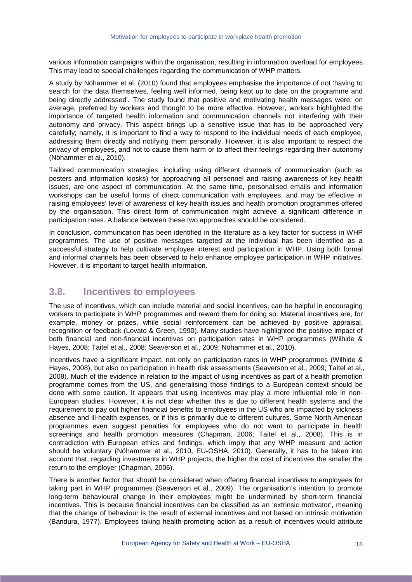various information campaigns within the organisation, resulting in information overload for employees. This may lead to special challenges regarding the communication of WHP matters.

A study by Nöhammer et al. (2010) found that employees emphasise the importance of not 'having to search for the data themselves, feeling well informed, being kept up to date on the programme and being directly addressed'. The study found that positive and motivating health messages were, on average, preferred by workers and thought to be more effective. However, workers highlighted the importance of targeted health information and communication channels not interfering with their autonomy and privacy. This aspect brings up a sensitive issue that has to be approached very carefully; namely, it is important to find a way to respond to the individual needs of each employee, addressing them directly and notifying them personally. However, it is also important to respect the privacy of employees, and not to cause them harm or to affect their feelings regarding their autonomy (Nöhammer et al., 2010).

Tailored communication strategies, including using different channels of communication (such as posters and information kiosks) for approaching all personnel and raising awareness of key health issues, are one aspect of communication. At the same time, personalised emails and information workshops can be useful forms of direct communication with employees, and may be effective in raising employees' level of awareness of key health issues and health promotion programmes offered by the organisation. This direct form of communication might achieve a significant difference in participation rates. A balance between these two approaches should be considered.

In conclusion, communication has been identified in the literature as a key factor for success in WHP programmes. The use of positive messages targeted at the individual has been identified as a successful strategy to help cultivate employee interest and participation in WHP. Using both formal and informal channels has been observed to help enhance employee participation in WHP initiatives. However, it is important to target health information.

#### <span id="page-18-0"></span>**3.8. Incentives to employees**

The use of incentives, which can include material and social incentives, can be helpful in encouraging workers to participate in WHP programmes and reward them for doing so. Material incentives are, for example, money or prizes, while social reinforcement can be achieved by positive appraisal, recognition or feedback (Lovato & Green, 1990). Many studies have highlighted the positive impact of both financial and non-financial incentives on participation rates in WHP programmes (Wilhide & Hayes, 2008; Taitel et al., 2008; Seaverson et al., 2009; Nöhammer et al., 2010).

Incentives have a significant impact, not only on participation rates in WHP programmes (Wilhide & Hayes, 2008), but also on participation in health risk assessments (Seaverson et al., 2009; Taitel et al., 2008). Much of the evidence in relation to the impact of using incentives as part of a health promotion programme comes from the US, and generalising those findings to a European context should be done with some caution. It appears that using incentives may play a more influential role in non-European studies. However, it is not clear whether this is due to different health systems and the requirement to pay out higher financial benefits to employees in the US who are impacted by sickness absence and ill-health expenses, or if this is primarily due to different cultures. Some North American programmes even suggest penalties for employees who do not want to participate in health screenings and health promotion measures (Chapman, 2006; Taitel et al., 2008). This is in contradiction with European ethics and findings, which imply that any WHP measure and action should be voluntary (Nöhammer et al., 2010, EU-OSHA, 2010). Generally, it has to be taken into account that, regarding investments in WHP projects, the higher the cost of incentives the smaller the return to the employer (Chapman, 2006).

There is another factor that should be considered when offering financial incentives to employees for taking part in WHP programmes (Seaverson et al., 2009). The organisation's intention to promote long-term behavioural change in their employees might be undermined by short-term financial incentives. This is because financial incentives can be classified as an 'extrinsic motivator', meaning that the change of behaviour is the result of external incentives and not based on intrinsic motivation (Bandura, 1977). Employees taking health-promoting action as a result of incentives would attribute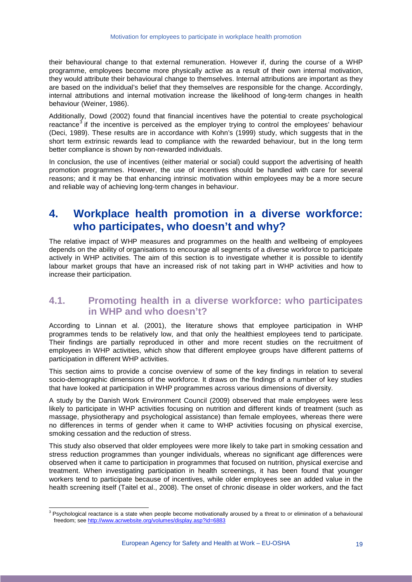their behavioural change to that external remuneration. However if, during the course of a WHP programme, employees become more physically active as a result of their own internal motivation, they would attribute their behavioural change to themselves. Internal attributions are important as they are based on the individual's belief that they themselves are responsible for the change. Accordingly, internal attributions and internal motivation increase the likelihood of long-term changes in health behaviour (Weiner, 1986).

Additionally, Dowd (2002) found that financial incentives have the potential to create psychological reactance $3$  if the incentive is perceived as the employer trying to control the employees' behaviour (Deci, 1989). These results are in accordance with Kohn's (1999) study, which suggests that in the short term extrinsic rewards lead to compliance with the rewarded behaviour, but in the long term better compliance is shown by non-rewarded individuals.

In conclusion, the use of incentives (either material or social) could support the advertising of health promotion programmes. However, the use of incentives should be handled with care for several reasons; and it may be that enhancing intrinsic motivation within employees may be a more secure and reliable way of achieving long-term changes in behaviour.

# <span id="page-19-0"></span>**4. Workplace health promotion in a diverse workforce: who participates, who doesn't and why?**

The relative impact of WHP measures and programmes on the health and wellbeing of employees depends on the ability of organisations to encourage all segments of a diverse workforce to participate actively in WHP activities. The aim of this section is to investigate whether it is possible to identify labour market groups that have an increased risk of not taking part in WHP activities and how to increase their participation.

## <span id="page-19-1"></span>**4.1. Promoting health in a diverse workforce: who participates in WHP and who doesn't?**

According to Linnan et al. (2001), the literature shows that employee participation in WHP programmes tends to be relatively low, and that only the healthiest employees tend to participate. Their findings are partially reproduced in other and more recent studies on the recruitment of employees in WHP activities, which show that different employee groups have different patterns of participation in different WHP activities.

This section aims to provide a concise overview of some of the key findings in relation to several socio-demographic dimensions of the workforce. It draws on the findings of a number of key studies that have looked at participation in WHP programmes across various dimensions of diversity.

A study by the Danish Work Environment Council (2009) observed that male employees were less likely to participate in WHP activities focusing on nutrition and different kinds of treatment (such as massage, physiotherapy and psychological assistance) than female employees, whereas there were no differences in terms of gender when it came to WHP activities focusing on physical exercise, smoking cessation and the reduction of stress.

This study also observed that older employees were more likely to take part in smoking cessation and stress reduction programmes than younger individuals, whereas no significant age differences were observed when it came to participation in programmes that focused on nutrition, physical exercise and treatment. When investigating participation in health screenings, it has been found that younger workers tend to participate because of incentives, while older employees see an added value in the health screening itself (Taitel et al., 2008). The onset of chronic disease in older workers, and the fact

<span id="page-19-2"></span> $3$  Psychological reactance is a state when people become motivationally aroused by a threat to or elimination of a behavioural freedom; see<http://www.acrwebsite.org/volumes/display.asp?id=6883>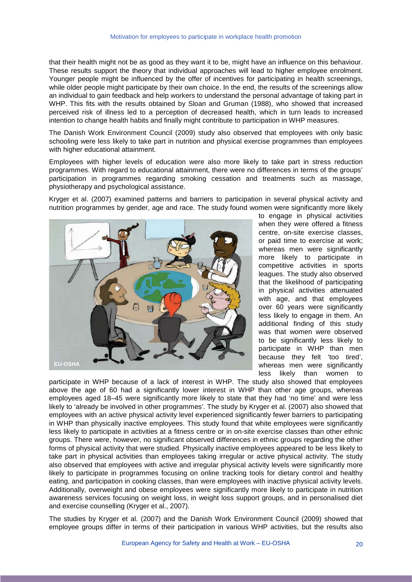that their health might not be as good as they want it to be, might have an influence on this behaviour. These results support the theory that individual approaches will lead to higher employee enrolment. Younger people might be influenced by the offer of incentives for participating in health screenings, while older people might participate by their own choice. In the end, the results of the screenings allow an individual to gain feedback and help workers to understand the personal advantage of taking part in WHP. This fits with the results obtained by Sloan and Gruman (1988), who showed that increased perceived risk of illness led to a perception of decreased health, which in turn leads to increased intention to change health habits and finally might contribute to participation in WHP measures.

The Danish Work Environment Council (2009) study also observed that employees with only basic schooling were less likely to take part in nutrition and physical exercise programmes than employees with higher educational attainment.

Employees with higher levels of education were also more likely to take part in stress reduction programmes. With regard to educational attainment, there were no differences in terms of the groups' participation in programmes regarding smoking cessation and treatments such as massage, physiotherapy and psychological assistance.

Kryger et al. (2007) examined patterns and barriers to participation in several physical activity and nutrition programmes by gender, age and race. The study found women were significantly more likely



to engage in physical activities when they were offered a fitness centre, on-site exercise classes, or paid time to exercise at work; whereas men were significantly more likely to participate in competitive activities in sports leagues. The study also observed that the likelihood of participating in physical activities attenuated with age, and that employees over 60 years were significantly less likely to engage in them. An additional finding of this study was that women were observed to be significantly less likely to participate in WHP than men because they felt 'too tired', whereas men were significantly less likely than women to

participate in WHP because of a lack of interest in WHP. The study also showed that employees above the age of 60 had a significantly lower interest in WHP than other age groups, whereas employees aged 18–45 were significantly more likely to state that they had 'no time' and were less likely to 'already be involved in other programmes'. The study by Kryger et al. (2007) also showed that employees with an active physical activity level experienced significantly fewer barriers to participating in WHP than physically inactive employees. This study found that white employees were significantly less likely to participate in activities at a fitness centre or in on-site exercise classes than other ethnic groups. There were, however, no significant observed differences in ethnic groups regarding the other forms of physical activity that were studied. Physically inactive employees appeared to be less likely to take part in physical activities than employees taking irregular or active physical activity. The study also observed that employees with active and irregular physical activity levels were significantly more likely to participate in programmes focusing on online tracking tools for dietary control and healthy eating, and participation in cooking classes, than were employees with inactive physical activity levels. Additionally, overweight and obese employees were significantly more likely to participate in nutrition awareness services focusing on weight loss, in weight loss support groups, and in personalised diet and exercise counselling (Kryger et al., 2007).

The studies by Kryger et al. (2007) and the Danish Work Environment Council (2009) showed that employee groups differ in terms of their participation in various WHP activities, but the results also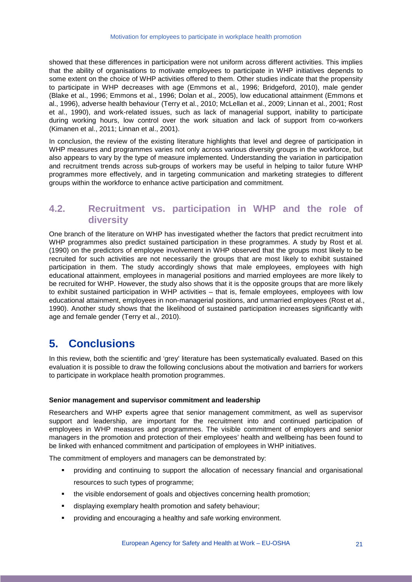showed that these differences in participation were not uniform across different activities. This implies that the ability of organisations to motivate employees to participate in WHP initiatives depends to some extent on the choice of WHP activities offered to them. Other studies indicate that the propensity to participate in WHP decreases with age (Emmons et al., 1996; Bridgeford, 2010), male gender (Blake et al., 1996; Emmons et al., 1996; Dolan et al., 2005), low educational attainment (Emmons et al., 1996), adverse health behaviour (Terry et al., 2010; McLellan et al., 2009; Linnan et al., 2001; Rost et al., 1990), and work-related issues, such as lack of managerial support, inability to participate during working hours, low control over the work situation and lack of support from co-workers (Kimanen et al., 2011; Linnan et al., 2001).

In conclusion, the review of the existing literature highlights that level and degree of participation in WHP measures and programmes varies not only across various diversity groups in the workforce, but also appears to vary by the type of measure implemented. Understanding the variation in participation and recruitment trends across sub-groups of workers may be useful in helping to tailor future WHP programmes more effectively, and in targeting communication and marketing strategies to different groups within the workforce to enhance active participation and commitment.

## <span id="page-21-0"></span>**4.2. Recruitment vs. participation in WHP and the role of diversity**

One branch of the literature on WHP has investigated whether the factors that predict recruitment into WHP programmes also predict sustained participation in these programmes. A study by Rost et al. (1990) on the predictors of employee involvement in WHP observed that the groups most likely to be recruited for such activities are not necessarily the groups that are most likely to exhibit sustained participation in them. The study accordingly shows that male employees, employees with high educational attainment, employees in managerial positions and married employees are more likely to be recruited for WHP. However, the study also shows that it is the opposite groups that are more likely to exhibit sustained participation in WHP activities – that is, female employees, employees with low educational attainment, employees in non-managerial positions, and unmarried employees (Rost et al., 1990). Another study shows that the likelihood of sustained participation increases significantly with age and female gender (Terry et al., 2010).

# <span id="page-21-1"></span>**5. Conclusions**

In this review, both the scientific and 'grey' literature has been systematically evaluated. Based on this evaluation it is possible to draw the following conclusions about the motivation and barriers for workers to participate in workplace health promotion programmes.

#### **Senior management and supervisor commitment and leadership**

Researchers and WHP experts agree that senior management commitment, as well as supervisor support and leadership, are important for the recruitment into and continued participation of employees in WHP measures and programmes. The visible commitment of employers and senior managers in the promotion and protection of their employees' health and wellbeing has been found to be linked with enhanced commitment and participation of employees in WHP initiatives.

The commitment of employers and managers can be demonstrated by:

- providing and continuing to support the allocation of necessary financial and organisational resources to such types of programme;
- the visible endorsement of goals and objectives concerning health promotion;
- displaying exemplary health promotion and safety behaviour;
- **•** providing and encouraging a healthy and safe working environment.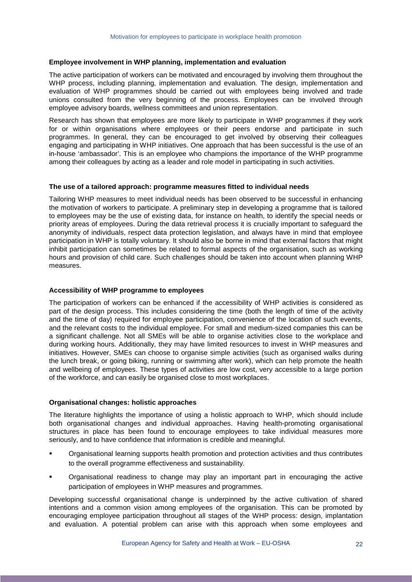#### **Employee involvement in WHP planning, implementation and evaluation**

The active participation of workers can be motivated and encouraged by involving them throughout the WHP process, including planning, implementation and evaluation. The design, implementation and evaluation of WHP programmes should be carried out with employees being involved and trade unions consulted from the very beginning of the process. Employees can be involved through employee advisory boards, wellness committees and union representation.

Research has shown that employees are more likely to participate in WHP programmes if they work for or within organisations where employees or their peers endorse and participate in such programmes. In general, they can be encouraged to get involved by observing their colleagues engaging and participating in WHP initiatives. One approach that has been successful is the use of an in-house 'ambassador'. This is an employee who champions the importance of the WHP programme among their colleagues by acting as a leader and role model in participating in such activities.

#### **The use of a tailored approach: programme measures fitted to individual needs**

Tailoring WHP measures to meet individual needs has been observed to be successful in enhancing the motivation of workers to participate. A preliminary step in developing a programme that is tailored to employees may be the use of existing data, for instance on health, to identify the special needs or priority areas of employees. During the data retrieval process it is crucially important to safeguard the anonymity of individuals, respect data protection legislation, and always have in mind that employee participation in WHP is totally voluntary. It should also be borne in mind that external factors that might inhibit participation can sometimes be related to formal aspects of the organisation, such as working hours and provision of child care. Such challenges should be taken into account when planning WHP measures.

#### **Accessibility of WHP programme to employees**

The participation of workers can be enhanced if the accessibility of WHP activities is considered as part of the design process. This includes considering the time (both the length of time of the activity and the time of day) required for employee participation, convenience of the location of such events, and the relevant costs to the individual employee. For small and medium-sized companies this can be a significant challenge. Not all SMEs will be able to organise activities close to the workplace and during working hours. Additionally, they may have limited resources to invest in WHP measures and initiatives. However, SMEs can choose to organise simple activities (such as organised walks during the lunch break, or going biking, running or swimming after work), which can help promote the health and wellbeing of employees. These types of activities are low cost, very accessible to a large portion of the workforce, and can easily be organised close to most workplaces.

#### **Organisational changes: holistic approaches**

The literature highlights the importance of using a holistic approach to WHP, which should include both organisational changes and individual approaches. Having health-promoting organisational structures in place has been found to encourage employees to take individual measures more seriously, and to have confidence that information is credible and meaningful.

- Organisational learning supports health promotion and protection activities and thus contributes to the overall programme effectiveness and sustainability.
- Organisational readiness to change may play an important part in encouraging the active participation of employees in WHP measures and programmes.

Developing successful organisational change is underpinned by the active cultivation of shared intentions and a common vision among employees of the organisation. This can be promoted by encouraging employee participation throughout all stages of the WHP process: design, implantation and evaluation. A potential problem can arise with this approach when some employees and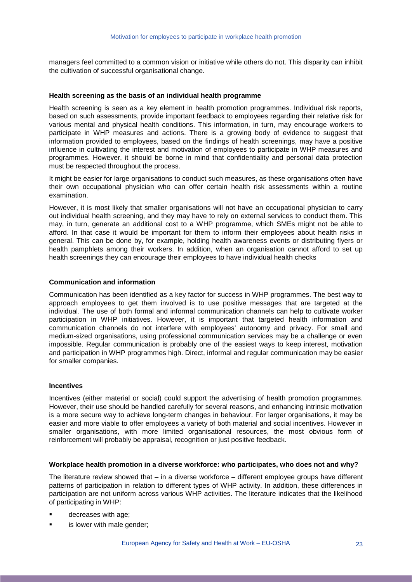managers feel committed to a common vision or initiative while others do not. This disparity can inhibit the cultivation of successful organisational change.

#### **Health screening as the basis of an individual health programme**

Health screening is seen as a key element in health promotion programmes. Individual risk reports, based on such assessments, provide important feedback to employees regarding their relative risk for various mental and physical health conditions. This information, in turn, may encourage workers to participate in WHP measures and actions. There is a growing body of evidence to suggest that information provided to employees, based on the findings of health screenings, may have a positive influence in cultivating the interest and motivation of employees to participate in WHP measures and programmes. However, it should be borne in mind that confidentiality and personal data protection must be respected throughout the process.

It might be easier for large organisations to conduct such measures, as these organisations often have their own occupational physician who can offer certain health risk assessments within a routine examination.

However, it is most likely that smaller organisations will not have an occupational physician to carry out individual health screening, and they may have to rely on external services to conduct them. This may, in turn, generate an additional cost to a WHP programme, which SMEs might not be able to afford. In that case it would be important for them to inform their employees about health risks in general. This can be done by, for example, holding health awareness events or distributing flyers or health pamphlets among their workers. In addition, when an organisation cannot afford to set up health screenings they can encourage their employees to have individual health checks

#### **Communication and information**

Communication has been identified as a key factor for success in WHP programmes. The best way to approach employees to get them involved is to use positive messages that are targeted at the individual. The use of both formal and informal communication channels can help to cultivate worker participation in WHP initiatives. However, it is important that targeted health information and communication channels do not interfere with employees' autonomy and privacy. For small and medium-sized organisations, using professional communication services may be a challenge or even impossible. Regular communication is probably one of the easiest ways to keep interest, motivation and participation in WHP programmes high. Direct, informal and regular communication may be easier for smaller companies.

#### **Incentives**

Incentives (either material or social) could support the advertising of health promotion programmes. However, their use should be handled carefully for several reasons, and enhancing intrinsic motivation is a more secure way to achieve long-term changes in behaviour. For larger organisations, it may be easier and more viable to offer employees a variety of both material and social incentives. However in smaller organisations, with more limited organisational resources, the most obvious form of reinforcement will probably be appraisal, recognition or just positive feedback.

#### **Workplace health promotion in a diverse workforce: who participates, who does not and why?**

The literature review showed that – in a diverse workforce – different employee groups have different patterns of participation in relation to different types of WHP activity. In addition, these differences in participation are not uniform across various WHP activities. The literature indicates that the likelihood of participating in WHP:

- decreases with age;
- **is lower with male gender;**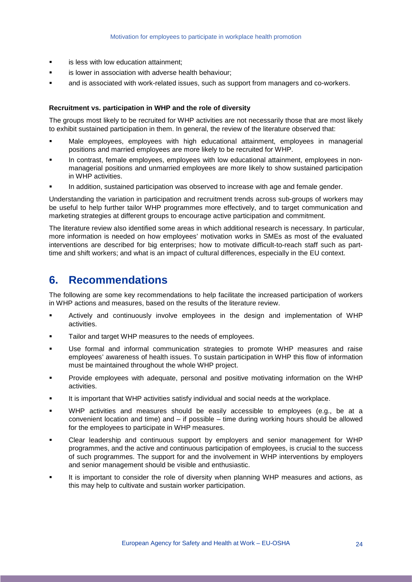- is less with low education attainment;
- is lower in association with adverse health behaviour;
- and is associated with work-related issues, such as support from managers and co-workers.

#### **Recruitment vs. participation in WHP and the role of diversity**

The groups most likely to be recruited for WHP activities are not necessarily those that are most likely to exhibit sustained participation in them. In general, the review of the literature observed that:

- Male employees, employees with high educational attainment, employees in managerial positions and married employees are more likely to be recruited for WHP.
- In contrast, female employees, employees with low educational attainment, employees in nonmanagerial positions and unmarried employees are more likely to show sustained participation in WHP activities.
- In addition, sustained participation was observed to increase with age and female gender.

Understanding the variation in participation and recruitment trends across sub-groups of workers may be useful to help further tailor WHP programmes more effectively, and to target communication and marketing strategies at different groups to encourage active participation and commitment.

The literature review also identified some areas in which additional research is necessary. In particular, more information is needed on how employees' motivation works in SMEs as most of the evaluated interventions are described for big enterprises; how to motivate difficult-to-reach staff such as parttime and shift workers; and what is an impact of cultural differences, especially in the EU context.

## <span id="page-24-0"></span>**6. Recommendations**

The following are some key recommendations to help facilitate the increased participation of workers in WHP actions and measures, based on the results of the literature review.

- Actively and continuously involve employees in the design and implementation of WHP activities.
- Tailor and target WHP measures to the needs of employees.
- Use formal and informal communication strategies to promote WHP measures and raise employees' awareness of health issues. To sustain participation in WHP this flow of information must be maintained throughout the whole WHP project.
- Provide employees with adequate, personal and positive motivating information on the WHP activities.
- It is important that WHP activities satisfy individual and social needs at the workplace.
- WHP activities and measures should be easily accessible to employees (e.g., be at a convenient location and time) and – if possible – time during working hours should be allowed for the employees to participate in WHP measures.
- Clear leadership and continuous support by employers and senior management for WHP programmes, and the active and continuous participation of employees, is crucial to the success of such programmes. The support for and the involvement in WHP interventions by employers and senior management should be visible and enthusiastic.
- It is important to consider the role of diversity when planning WHP measures and actions, as this may help to cultivate and sustain worker participation.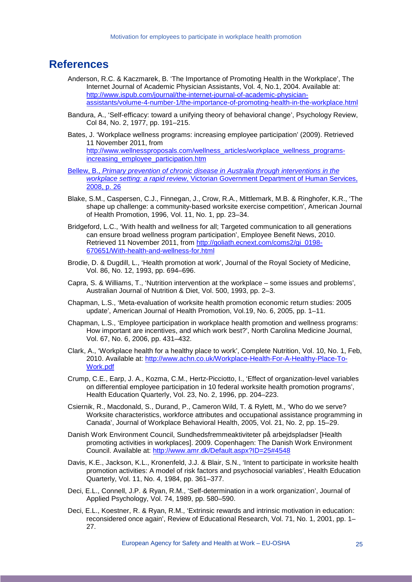#### <span id="page-25-0"></span>**References**

- Anderson, R.C. & Kaczmarek, B. 'The Importance of Promoting Health in the Workplace', The Internet Journal of Academic Physician Assistants, Vol. 4, No.1, 2004. Available at: [http://www.ispub.com/journal/the-internet-journal-of-academic-physician](http://www.ispub.com/journal/the-internet-journal-of-academic-physician-assistants/volume-4-number-1/the-importance-of-promoting-health-in-the-workplace.html)[assistants/volume-4-number-1/the-importance-of-promoting-health-in-the-workplace.html](http://www.ispub.com/journal/the-internet-journal-of-academic-physician-assistants/volume-4-number-1/the-importance-of-promoting-health-in-the-workplace.html)
- Bandura, A., 'Self-efficacy: toward a unifying theory of behavioral change', Psychology Review, Col 84, No. 2, 1977, pp. 191–215.
- Bates, J. 'Workplace wellness programs: increasing employee participation' (2009). Retrieved 11 November 2011, from [http://www.wellnessproposals.com/wellness\\_articles/workplace\\_wellness\\_programs](http://www.wellnessproposals.com/wellness_articles/workplace_wellness_programs-increasing_employee_participation.htm)[increasing\\_employee\\_participation.htm](http://www.wellnessproposals.com/wellness_articles/workplace_wellness_programs-increasing_employee_participation.htm)
- Bellew, B., *Primary prevention of chronic disease in Australia through interventions in the workplace setting: a rapid review*, Victorian Government Department of Human Services, 2008, p. 26
- Blake, S.M., Caspersen, C.J., Finnegan, J., Crow, R.A., Mittlemark, M.B. & Ringhofer, K.R., 'The shape up challenge: a community-based worksite exercise competition', American Journal of Health Promotion, 1996, Vol. 11, No. 1, pp. 23–34.
- Bridgeford, L.C., 'With health and wellness for all; Targeted communication to all generations can ensure broad wellness program participation', Employee Benefit News, 2010. Retrieved 11 November 2011, from [http://goliath.ecnext.com/coms2/gi\\_0198-](http://goliath.ecnext.com/coms2/gi_0198-670651/With-health-and-wellness-for.html) [670651/With-health-and-wellness-for.html](http://goliath.ecnext.com/coms2/gi_0198-670651/With-health-and-wellness-for.html)
- Brodie, D. & Dugdill, L., 'Health promotion at work', Journal of the Royal Society of Medicine, Vol. 86, No. 12, 1993, pp. 694–696.
- Capra, S. & Williams, T., 'Nutrition intervention at the workplace some issues and problems', Australian Journal of Nutrition & Diet, Vol. 500, 1993, pp. 2–3.
- Chapman, L.S., 'Meta-evaluation of worksite health promotion economic return studies: 2005 update', American Journal of Health Promotion, Vol.19, No. 6, 2005, pp. 1–11.
- Chapman, L.S., 'Employee participation in workplace health promotion and wellness programs: How important are incentives, and which work best?', North Carolina Medicine Journal, Vol. 67, No. 6, 2006, pp. 431–432.
- Clark, A., 'Workplace health for a healthy place to work', Complete Nutrition, Vol. 10, No. 1, Feb, 2010. Available at: [http://www.achn.co.uk/Workplace-Health-For-A-Healthy-Place-To-](http://www.achn.co.uk/Workplace-Health-For-A-Healthy-Place-To-Work.pdf)[Work.pdf](http://www.achn.co.uk/Workplace-Health-For-A-Healthy-Place-To-Work.pdf)
- Crump, C.E., Earp, J. A., Kozma, C.M., Hertz-Picciotto, I., 'Effect of organization-level variables on differential employee participation in 10 federal worksite health promotion programs', Health Education Quarterly, Vol. 23, No. 2, 1996, pp. 204–223.
- Csiernik, R., Macdonald, S., Durand, P., Cameron Wild, T. & Rylett, M., 'Who do we serve? Worksite characteristics, workforce attributes and occupational assistance programming in Canada', Journal of Workplace Behavioral Health, 2005, Vol. 21, No. 2, pp. 15–29.
- Danish Work Environment Council, Sundhedsfremmeaktiviteter på arbejdspladser [Health promoting activities in workplaces]. 2009. Copenhagen: The Danish Work Environment Council. Available at:<http://www.amr.dk/Default.aspx?ID=25#4548>
- Davis, K.E., Jackson, K.L., Kronenfeld, J.J. & Blair, S.N., 'Intent to participate in worksite health promotion activities: A model of risk factors and psychosocial variables', Health Education Quarterly, Vol. 11, No. 4, 1984, pp. 361–377.
- Deci, E.L., Connell, J.P. & Ryan, R.M., 'Self-determination in a work organization', Journal of Applied Psychology, Vol. 74, 1989, pp. 580–590.
- Deci, E.L., Koestner, R. & Ryan, R.M., 'Extrinsic rewards and intrinsic motivation in education: reconsidered once again', Review of Educational Research, Vol. 71, No. 1, 2001, pp. 1– 27.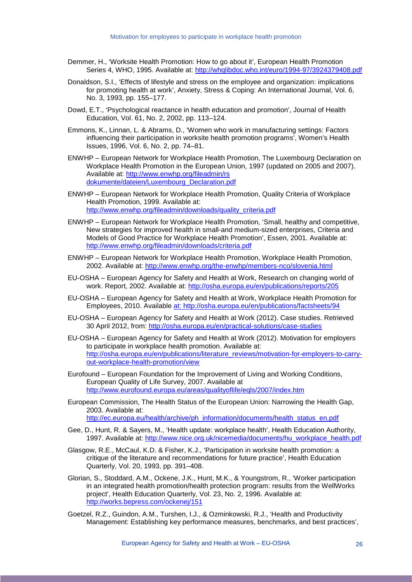- Demmer, H., 'Worksite Health Promotion: How to go about it', European Health Promotion Series 4, WHO, 1995. Available at:<http://whqlibdoc.who.int/euro/1994-97/3924379408.pdf>
- Donaldson, S.I., 'Effects of lifestyle and stress on the employee and organization: implications for promoting health at work', Anxiety, Stress & Coping: An International Journal, Vol. 6, No. 3, 1993, pp. 155–177.
- Dowd, E.T., 'Psychological reactance in health education and promotion', Journal of Health Education, Vol. 61, No. 2, 2002, pp. 113–124.
- Emmons, K., Linnan, L. & Abrams, D., 'Women who work in manufacturing settings: Factors influencing their participation in worksite health promotion programs', Women's Health Issues, 1996, Vol. 6, No. 2, pp. 74–81.
- ENWHP European Network for Workplace Health Promotion, The Luxembourg Declaration on Workplace Health Promotion in the European Union, 1997 (updated on 2005 and 2007). Available at: [http://www.enwhp.org/fileadmin/rs](http://www.enwhp.org/fileadmin/rs%20dokumente/dateien/Luxembourg_Declaration.pdf)  [dokumente/dateien/Luxembourg\\_Declaration.pdf](http://www.enwhp.org/fileadmin/rs%20dokumente/dateien/Luxembourg_Declaration.pdf)
- ENWHP European Network for Workplace Health Promotion, Quality Criteria of Workplace Health Promotion, 1999. Available at: [http://www.enwhp.org/fileadmin/downloads/quality\\_criteria.pdf](http://www.enwhp.org/fileadmin/downloads/quality_criteria.pdf)
- ENWHP European Network for Workplace Health Promotion, 'Small, healthy and competitive, New strategies for improved health in small-and medium-sized enterprises, Criteria and Models of Good Practice for Workplace Health Promotion', Essen, 2001. Available at: <http://www.enwhp.org/fileadmin/downloads/criteria.pdf>
- ENWHP European Network for Workplace Health Promotion, Workplace Health Promotion, 2002. Available at:<http://www.enwhp.org/the-enwhp/members-nco/slovenia.html>
- EU-OSHA European Agency for Safety and Health at Work, Research on changing world of work. Report, 2002. Available at:<http://osha.europa.eu/en/publications/reports/205>
- EU-OSHA European Agency for Safety and Health at Work, Workplace Health Promotion for Employees, 2010. Available [at: http://osha.europa.eu/en/publications/factsheets/94](at:%20http://osha.europa.eu/en/publications/factsheets/94)
- EU-OSHA European Agency for Safety and Health at Work (2012). Case studies. Retrieved 30 April 2012, from:<http://osha.europa.eu/en/practical-solutions/case-studies>
- EU-OSHA European Agency for Safety and Health at Work (2012). Motivation for employers to participate in workplace health promotion. Available at: [http://osha.europa.eu/en/publications/literature\\_reviews/motivation-for-employers-to-carry](http://osha.europa.eu/en/publications/literature_reviews/motivation-for-employers-to-carry-out-workplace-health-promotion/view)[out-workplace-health-promotion/view](http://osha.europa.eu/en/publications/literature_reviews/motivation-for-employers-to-carry-out-workplace-health-promotion/view)
- Eurofound European Foundation for the Improvement of Living and Working Conditions, European Quality of Life Survey, 2007. Available at <http://www.eurofound.europa.eu/areas/qualityoflife/eqls/2007/index.htm>
- European Commission, The Health Status of the European Union: Narrowing the Health Gap, 2003. Available at:
	- [http://ec.europa.eu/health/archive/ph\\_information/documents/health\\_status\\_en.pdf](http://ec.europa.eu/health/archive/ph_information/documents/health_status_en.pdf)
- Gee, D., Hunt, R. & Sayers, M., 'Health update: workplace health', Health Education Authority, 1997. Available at: [http://www.nice.org.uk/nicemedia/documents/hu\\_workplace\\_health.pdf](http://www.nice.org.uk/nicemedia/documents/hu_workplace_health.pdf)
- Glasgow, R.E., McCaul, K.D. & Fisher, K.J., 'Participation in worksite health promotion: a critique of the literature and recommendations for future practice', Health Education Quarterly, Vol. 20, 1993, pp. 391–408.
- Glorian, S., Stoddard, A.M., Ockene, J.K., Hunt, M.K., & Youngstrom, R., 'Worker participation in an integrated health promotion/health protection program: results from the WellWorks project', Health Education Quarterly, Vol. 23, No. 2, 1996. Available at: <http://works.bepress.com/ockenej/151>
- Goetzel, R.Z., Guindon, A.M., Turshen, I.J., & Ozminkowski, R.J., 'Health and Productivity Management: Establishing key performance measures, benchmarks, and best practices',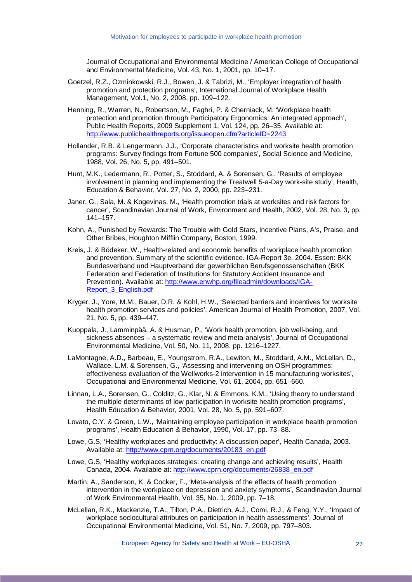Journal of Occupational and Environmental Medicine / American College of Occupational and Environmental Medicine, Vol. 43, No. 1, 2001, pp. 10–17.

- Goetzel, R.Z., Ozminkowski, R.J., Bowen, J. & Tabrizi, M., 'Employer integration of health promotion and protection programs', International Journal of Workplace Health Management, Vol.1, No. 2, 2008, pp. 109–122.
- Henning, R., Warren, N., Robertson, M., Faghri, P. & Cherniack, M. 'Workplace health protection and promotion through Participatory Ergonomics: An integrated approach', Public Health Reports, 2009 Supplement 1, Vol. 124, pp. 26–35. Available at: <http://www.publichealthreports.org/issueopen.cfm?articleID=2243>
- Hollander, R.B. & Lengermann, J.J., 'Corporate characteristics and worksite health promotion programs: Survey findings from Fortune 500 companies', Social Science and Medicine, 1988, Vol. 26, No. 5, pp. 491–501.
- Hunt, M.K., Ledermann, R., Potter, S., Stoddard, A. & Sorensen, G., 'Results of employee involvement in planning and implementing the Treatwell 5-a-Day work-site study', Health, Education & Behavior, Vol. 27, No. 2, 2000, pp. 223–231.
- Janer, G., Sala, M. & Kogevinas, M., 'Health promotion trials at worksites and risk factors for cancer', Scandinavian Journal of Work, Environment and Health, 2002, Vol. 28, No. 3, pp. 141–157.
- Kohn, A., Punished by Rewards: The Trouble with Gold Stars, Incentive Plans, A's, Praise, and Other Bribes, Houghton Mifflin Company, Boston, 1999.
- Kreis, J. & Bödeker, W., Health-related and economic benefits of workplace health promotion and prevention. Summary of the scientific evidence. IGA-Report 3e. 2004. Essen: BKK Bundesverband und Hauptverband der gewerblichen Berufsgenossenschaften (BKK Federation and Federation of Institutions for Statutory Accident Insurance and Prevention). Available at: [http://www.enwhp.org/fileadmin/downloads/IGA-](http://www.enwhp.org/fileadmin/downloads/IGA-Report_3_English.pdf)[Report\\_3\\_English.pdf](http://www.enwhp.org/fileadmin/downloads/IGA-Report_3_English.pdf)
- Kryger, J., Yore, M.M., Bauer, D.R. & Kohl, H.W., 'Selected barriers and incentives for worksite health promotion services and policies', American Journal of Health Promotion, 2007, Vol. 21, No. 5, pp. 439–447.
- Kuoppala, J., Lamminpää, A. & Husman, P., 'Work health promotion, job well-being, and sickness absences – a systematic review and meta-analysis', Journal of Occupational Environmental Medicine, Vol. 50, No. 11, 2008, pp. 1216–1227.
- LaMontagne, A.D., Barbeau, E., Youngstrom, R.A., Lewiton, M., Stoddard, A.M., McLellan, D., Wallace, L.M. & Sorensen, G., 'Assessing and intervening on OSH programmes: effectiveness evaluation of the Wellworks-2 intervention in 15 manufacturing worksites', Occupational and Environmental Medicine, Vol. 61, 2004, pp. 651–660.
- Linnan, L.A., Sorensen, G., Colditz, G., Klar, N. & Emmons, K.M., 'Using theory to understand the multiple determinants of low participation in worksite health promotion programs', Health Education & Behavior, 2001, Vol. 28, No. 5, pp. 591–607.
- Lovato, C.Y. & Green, L.W., 'Maintaining employee participation in workplace health promotion programs', Health Education & Behavior, 1990, Vol. 17, pp. 73–88.
- Lowe, G.S, 'Healthy workplaces and productivity: A discussion paper', Health Canada, 2003. Available at: [http://www.cprn.org/documents/20183\\_en.pdf](http://www.cprn.org/documents/20183_en.pdf)
- Lowe, G.S, 'Healthy workplaces strategies: creating change and achieving results', Health Canada, 2004. Available at: [http://www.cprn.org/documents/26838\\_en.pdf](http://www.cprn.org/documents/26838_en.pdf)
- Martin, A., Sanderson, K. & Cocker, F., 'Meta-analysis of the effects of health promotion intervention in the workplace on depression and anxiety symptoms', Scandinavian Journal of Work Environmental Health, Vol. 35, No. 1, 2009, pp. 7–18.
- McLellan, R.K., Mackenzie, T.A., Tilton, P.A., Dietrich, A.J., Comi, R.J., & Feng, Y.Y., 'Impact of workplace sociocultural attributes on participation in health assessments', Journal of Occupational Environmental Medicine, Vol. 51, No. 7, 2009, pp. 797–803.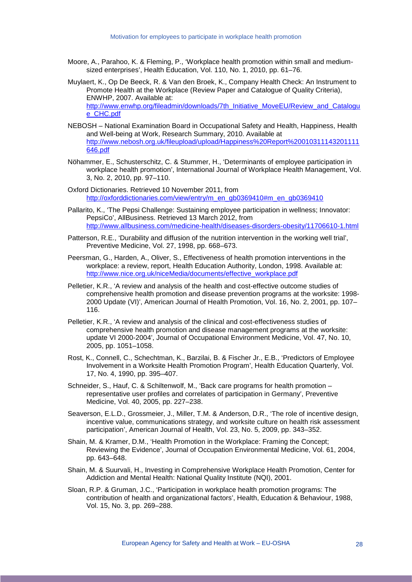Moore, A., Parahoo, K. & Fleming, P., 'Workplace health promotion within small and mediumsized enterprises', Health Education, Vol. 110, No. 1, 2010, pp. 61–76.

Muylaert, K., Op De Beeck, R. & Van den Broek, K., Company Health Check: An Instrument to Promote Health at the Workplace (Review Paper and Catalogue of Quality Criteria), ENWHP, 2007. Available at: [http://www.enwhp.org/fileadmin/downloads/7th\\_Initiative\\_MoveEU/Review\\_and\\_Catalogu](http://www.enwhp.org/fileadmin/downloads/7th_Initiative_MoveEU/Review_and_Catalogue_CHC.pdf)

[e\\_CHC.pdf](http://www.enwhp.org/fileadmin/downloads/7th_Initiative_MoveEU/Review_and_Catalogue_CHC.pdf)

- NEBOSH National Examination Board in Occupational Safety and Health, Happiness, Health and Well-being at Work, Research Summary, 2010. Available at [http://www.nebosh.org.uk/fileupload/upload/Happiness%20Report%20010311143201111](http://www.nebosh.org.uk/fileupload/upload/Happiness%20Report%20010311143201111646.pdf) [646.pdf](http://www.nebosh.org.uk/fileupload/upload/Happiness%20Report%20010311143201111646.pdf)
- Nöhammer, E., Schusterschitz, C. & Stummer, H., 'Determinants of employee participation in workplace health promotion', International Journal of Workplace Health Management, Vol. 3, No. 2, 2010, pp. 97–110.
- Oxford Dictionaries. Retrieved 10 November 2011, from [http://oxforddictionaries.com/view/entry/m\\_en\\_gb0369410#m\\_en\\_gb0369410](http://oxforddictionaries.com/view/entry/m_en_gb0369410#m_en_gb0369410)
- Pallarito, K., 'The Pepsi Challenge: Sustaining employee participation in wellness; Innovator: PepsiCo', AllBusiness. Retrieved 13 March 2012, from <http://www.allbusiness.com/medicine-health/diseases-disorders-obesity/11706610-1.html>
- Patterson, R.E., 'Durability and diffusion of the nutrition intervention in the working well trial', Preventive Medicine, Vol. 27, 1998, pp. 668–673.
- Peersman, G., Harden, A., Oliver, S., Effectiveness of health promotion interventions in the workplace: a review, report, Health Education Authority, London, 1998. Available at: [http://www.nice.org.uk/niceMedia/documents/effective\\_workplace.pdf](http://www.nice.org.uk/niceMedia/documents/effective_workplace.pdf)
- Pelletier, K.R., 'A review and analysis of the health and cost-effective outcome studies of comprehensive health promotion and disease prevention programs at the worksite: 1998- 2000 Update (VI)', American Journal of Health Promotion, Vol. 16, No. 2, 2001, pp. 107– 116.
- Pelletier, K.R., 'A review and analysis of the clinical and cost-effectiveness studies of comprehensive health promotion and disease management programs at the worksite: update VI 2000-2004', Journal of Occupational Environment Medicine, Vol. 47, No. 10, 2005, pp. 1051–1058.
- Rost, K., Connell, C., Schechtman, K., Barzilai, B. & Fischer Jr., E.B., 'Predictors of Employee Involvement in a Worksite Health Promotion Program', Health Education Quarterly, Vol. 17, No. 4, 1990, pp. 395–407.
- Schneider, S., Hauf, C. & Schiltenwolf, M., 'Back care programs for health promotion representative user profiles and correlates of participation in Germany', Preventive Medicine, Vol. 40, 2005, pp. 227–238.
- Seaverson, E.L.D., Grossmeier, J., Miller, T.M. & Anderson, D.R., 'The role of incentive design, incentive value, communications strategy, and worksite culture on health risk assessment participation', American Journal of Health, Vol. 23, No. 5, 2009, pp. 343–352.
- Shain, M. & Kramer, D.M., 'Health Promotion in the Workplace: Framing the Concept; Reviewing the Evidence', Journal of Occupation Environmental Medicine, Vol. 61, 2004, pp. 643–648.
- Shain, M. & Suurvali, H., Investing in Comprehensive Workplace Health Promotion, Center for Addiction and Mental Health: National Quality Institute (NQI), 2001.
- Sloan, R.P. & Gruman, J.C., 'Participation in workplace health promotion programs: The contribution of health and organizational factors', Health, Education & Behaviour, 1988, Vol. 15, No. 3, pp. 269–288.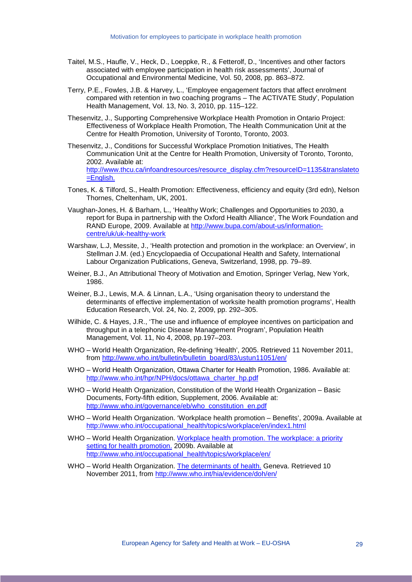- Taitel, M.S., Haufle, V., Heck, D., Loeppke, R., & Fetterolf, D., 'Incentives and other factors associated with employee participation in health risk assessments', Journal of Occupational and Environmental Medicine, Vol. 50, 2008, pp. 863–872.
- Terry, P.E., Fowles, J.B. & Harvey, L., 'Employee engagement factors that affect enrolment compared with retention in two coaching programs – The ACTIVATE Study', Population Health Management, Vol. 13, No. 3, 2010, pp. 115–122.
- Thesenvitz, J., Supporting Comprehensive Workplace Health Promotion in Ontario Project: Effectiveness of Workplace Health Promotion, The Health Communication Unit at the Centre for Health Promotion, University of Toronto, Toronto, 2003.
- Thesenvitz, J., Conditions for Successful Workplace Promotion Initiatives, The Health Communication Unit at the Centre for Health Promotion, University of Toronto, Toronto, 2002. Available at: [http://www.thcu.ca/infoandresources/resource\\_display.cfm?resourceID=1135&translateto](http://www.thcu.ca/infoandresources/resource_display.cfm?resourceID=1135&translateto=English) [=English.](http://www.thcu.ca/infoandresources/resource_display.cfm?resourceID=1135&translateto=English)
- Tones, K. & Tilford, S., Health Promotion: Effectiveness, efficiency and equity (3rd edn), Nelson Thornes, Cheltenham, UK, 2001.
- Vaughan-Jones, H. & Barham, L., 'Healthy Work; Challenges and Opportunities to 2030, a report for Bupa in partnership with the Oxford Health Alliance', The Work Foundation and RAND Europe, 2009. Available at [http://www.bupa.com/about-us/information](http://www.bupa.com/about-us/information-centre/uk/uk-healthy-work)[centre/uk/uk-healthy-work](http://www.bupa.com/about-us/information-centre/uk/uk-healthy-work)
- Warshaw, L.J, Messite, J., 'Health protection and promotion in the workplace: an Overview', in Stellman J.M. (ed.) Encyclopaedia of Occupational Health and Safety, International Labour Organization Publications, Geneva, Switzerland, 1998, pp. 79–89.
- Weiner, B.J., An Attributional Theory of Motivation and Emotion, Springer Verlag, New York, 1986.
- Weiner, B.J., Lewis, M.A. & Linnan, L.A., 'Using organisation theory to understand the determinants of effective implementation of worksite health promotion programs', Health Education Research, Vol. 24, No. 2, 2009, pp. 292–305.
- Wilhide, C. & Hayes, J.R., 'The use and influence of employee incentives on participation and throughput in a telephonic Disease Management Program', Population Health Management, Vol. 11, No 4, 2008, pp.197–203.
- WHO World Health Organization, Re-defining 'Health', 2005. Retrieved 11 November 2011, from [http://www.who.int/bulletin/bulletin\\_board/83/ustun11051/en/](http://www.who.int/bulletin/bulletin_board/83/ustun11051/en/)
- WHO World Health Organization, Ottawa Charter for Health Promotion, 1986. Available at: [http://www.who.int/hpr/NPH/docs/ottawa\\_charter\\_hp.pdf](http://www.who.int/hpr/NPH/docs/ottawa_charter_hp.pdf)
- WHO World Health Organization, Constitution of the World Health Organization Basic Documents, Forty-fifth edition, Supplement, 2006. Available at: [http://www.who.int/governance/eb/who\\_constitution\\_en.pdf](http://www.who.int/governance/eb/who_constitution_en.pdf)
- WHO World Health Organization. 'Workplace health promotion Benefits', 2009a. Available at [http://www.who.int/occupational\\_health/topics/workplace/en/index1.html](http://www.who.int/occupational_health/topics/workplace/en/index1.html)
- WHO World Health Organization. Workplace health promotion. The workplace: a priority [setting for health promotion.](http://www.who.int/occupational_health/topics/workplace/en/) 2009b. Available at [http://www.who.int/occupational\\_health/topics/workplace/en/](http://www.who.int/occupational_health/topics/workplace/en/)
- WHO World Health Organization. [The determinants of health.](http://www.who.int/hia/evidence/doh/en/) Geneva. Retrieved 10 November 2011, from<http://www.who.int/hia/evidence/doh/en/>